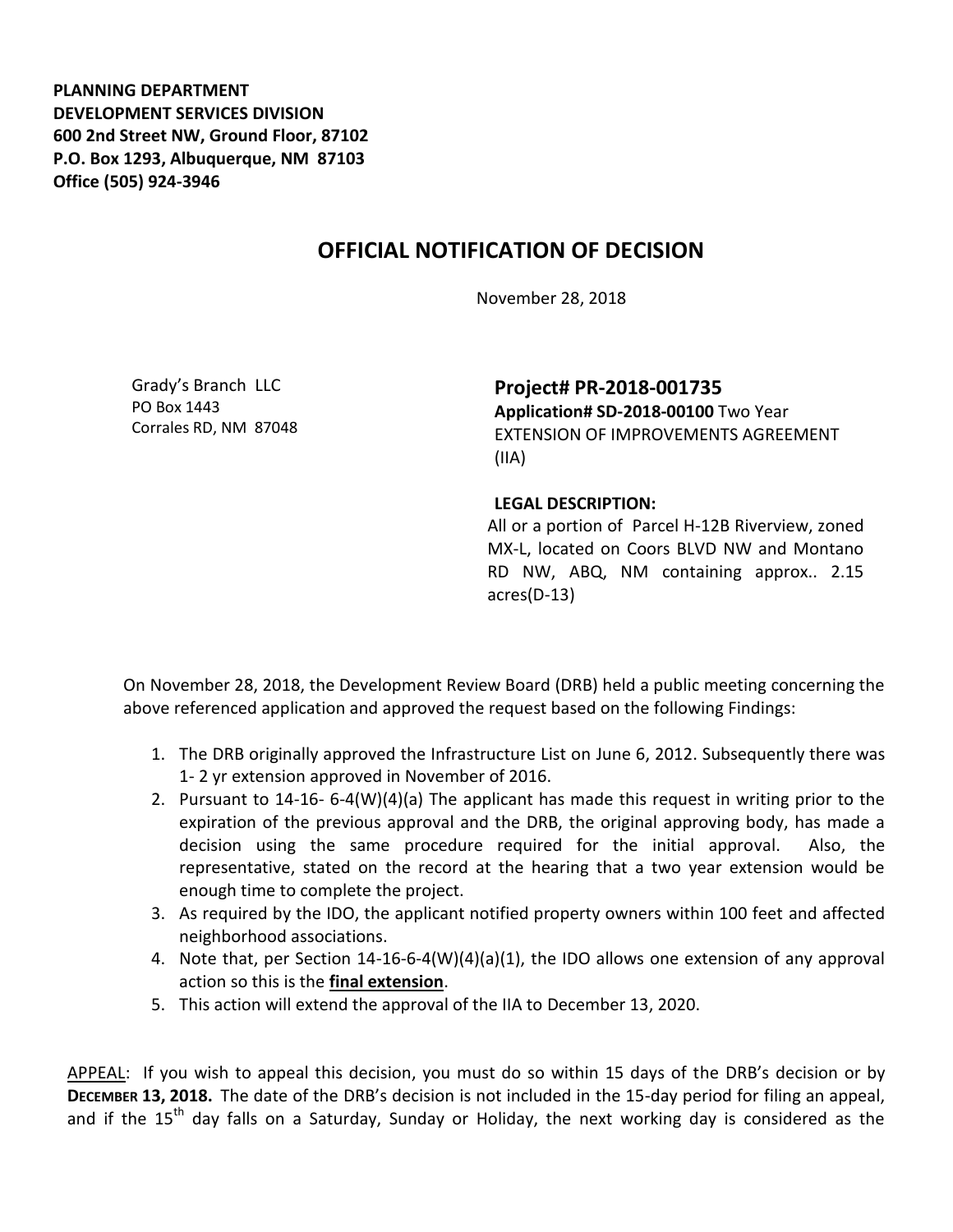**PLANNING DEPARTMENT DEVELOPMENT SERVICES DIVISION 600 2nd Street NW, Ground Floor, 87102 P.O. Box 1293, Albuquerque, NM 87103 Office (505) 924-3946** 

## **OFFICIAL NOTIFICATION OF DECISION**

November 28, 2018

Grady's Branch LLC PO Box 1443 Corrales RD, NM 87048

**Project# PR-2018-001735 Application# SD-2018-00100** Two Year EXTENSION OF IMPROVEMENTS AGREEMENT (IIA)

## **LEGAL DESCRIPTION:**

All or a portion of Parcel H-12B Riverview, zoned MX-L, located on Coors BLVD NW and Montano RD NW, ABQ, NM containing approx.. 2.15 acres(D-13)

On November 28, 2018, the Development Review Board (DRB) held a public meeting concerning the above referenced application and approved the request based on the following Findings:

- 1. The DRB originally approved the Infrastructure List on June 6, 2012. Subsequently there was 1- 2 yr extension approved in November of 2016.
- 2. Pursuant to 14-16- 6-4(W)(4)(a) The applicant has made this request in writing prior to the expiration of the previous approval and the DRB, the original approving body, has made a decision using the same procedure required for the initial approval. Also, the representative, stated on the record at the hearing that a two year extension would be enough time to complete the project.
- 3. As required by the IDO, the applicant notified property owners within 100 feet and affected neighborhood associations.
- 4. Note that, per Section 14-16-6-4(W)(4)(a)(1), the IDO allows one extension of any approval action so this is the **final extension**.
- 5. This action will extend the approval of the IIA to December 13, 2020.

APPEAL: If you wish to appeal this decision, you must do so within 15 days of the DRB's decision or by **DECEMBER 13, 2018.** The date of the DRB's decision is not included in the 15-day period for filing an appeal, and if the  $15<sup>th</sup>$  day falls on a Saturday, Sunday or Holiday, the next working day is considered as the